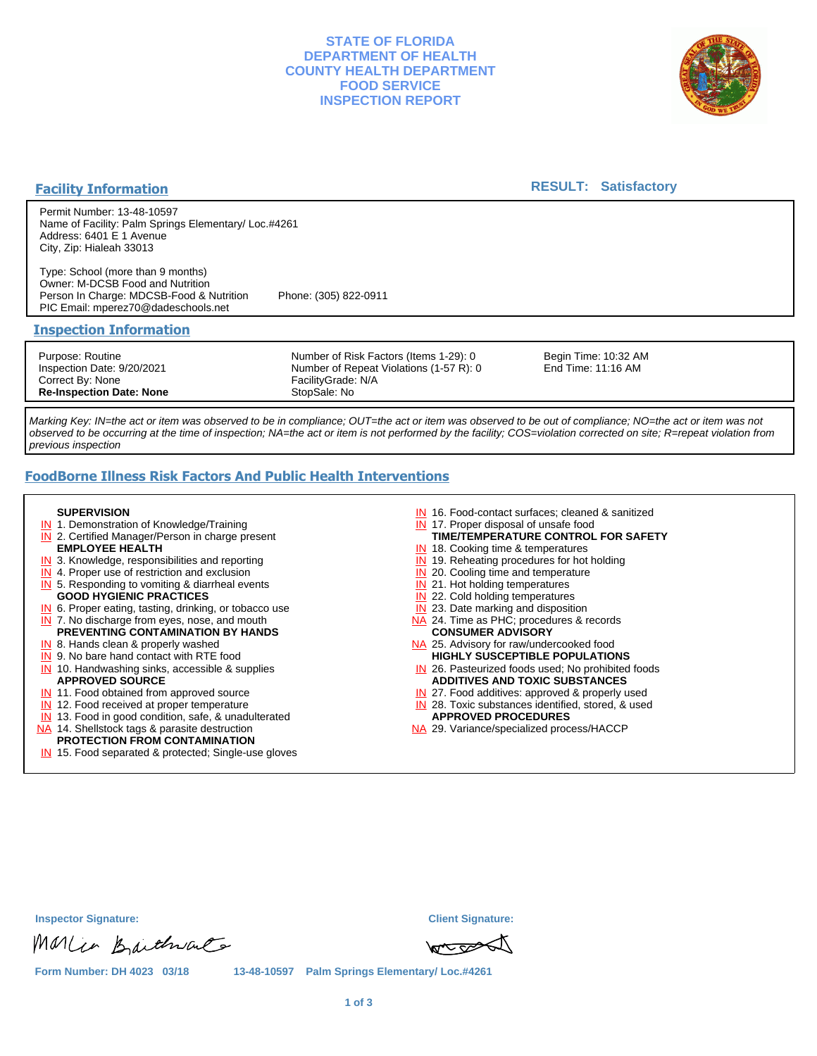### **STATE OF FLORIDA DEPARTMENT OF HEALTH COUNTY HEALTH DEPARTMENT FOOD SERVICE INSPECTION REPORT**



### **Facility Information**

#### **RESULT: Satisfactory**

Permit Number: 13-48-10597 Name of Facility: Palm Springs Elementary/ Loc.#4261 Address: 6401 E 1 Avenue City, Zip: Hialeah 33013

Type: School (more than 9 months) Owner: M-DCSB Food and Nutrition Person In Charge: MDCSB-Food & Nutrition Phone: (305) 822-0911 PIC Email: mperez70@dadeschools.net

#### **Inspection Information**

Purpose: Routine Inspection Date: 9/20/2021 Correct By: None **Re-Inspection Date: None**

Number of Risk Factors (Items 1-29): 0 Number of Repeat Violations (1-57 R): 0 FacilityGrade: N/A StopSale: No

Begin Time: 10:32 AM End Time: 11:16 AM

Marking Key: IN=the act or item was observed to be in compliance; OUT=the act or item was observed to be out of compliance; NO=the act or item was not observed to be occurring at the time of inspection; NA=the act or item is not performed by the facility; COS=violation corrected on site; R=repeat violation from previous inspection

# **FoodBorne Illness Risk Factors And Public Health Interventions**

#### **SUPERVISION**

- **IN** 1. Demonstration of Knowledge/Training
- **IN** 2. Certified Manager/Person in charge present **EMPLOYEE HEALTH**
- **IN** 3. Knowledge, responsibilities and reporting
- **IN** 4. Proper use of restriction and exclusion
- **IN** 5. Responding to vomiting & diarrheal events
- **GOOD HYGIENIC PRACTICES**
- **IN** 6. Proper eating, tasting, drinking, or tobacco use **IN** 7. No discharge from eyes, nose, and mouth
- **PREVENTING CONTAMINATION BY HANDS**
- IN 8. Hands clean & properly washed **IN** 9. No bare hand contact with RTE food
- IN 10. Handwashing sinks, accessible & supplies **APPROVED SOURCE**
- **IN** 11. Food obtained from approved source
- **IN** 12. Food received at proper temperature
- IN 13. Food in good condition, safe, & unadulterated
- NA 14. Shellstock tags & parasite destruction

## **PROTECTION FROM CONTAMINATION**

IN 15. Food separated & protected; Single-use gloves

- IN 16. Food-contact surfaces; cleaned & sanitized
- IN 17. Proper disposal of unsafe food
- **TIME/TEMPERATURE CONTROL FOR SAFETY**
- IN 18. Cooking time & temperatures
- **IN** 19. Reheating procedures for hot holding **IN** 20. Cooling time and temperature
- IN 21. Hot holding temperatures
- **IN** 22. Cold holding temperatures
- **IN** 23. Date marking and disposition
- NA 24. Time as PHC; procedures & records **CONSUMER ADVISORY**
- NA 25. Advisory for raw/undercooked food **HIGHLY SUSCEPTIBLE POPULATIONS**
- IN 26. Pasteurized foods used; No prohibited foods **ADDITIVES AND TOXIC SUBSTANCES**
- IN 27. Food additives: approved & properly used
- IN 28. Toxic substances identified, stored, & used **APPROVED PROCEDURES**
- NA 29. Variance/specialized process/HACCP

**Inspector Signature: Client Signature:**

Marco Baichvale



**Form Number: DH 4023 03/18 13-48-10597 Palm Springs Elementary/ Loc.#4261**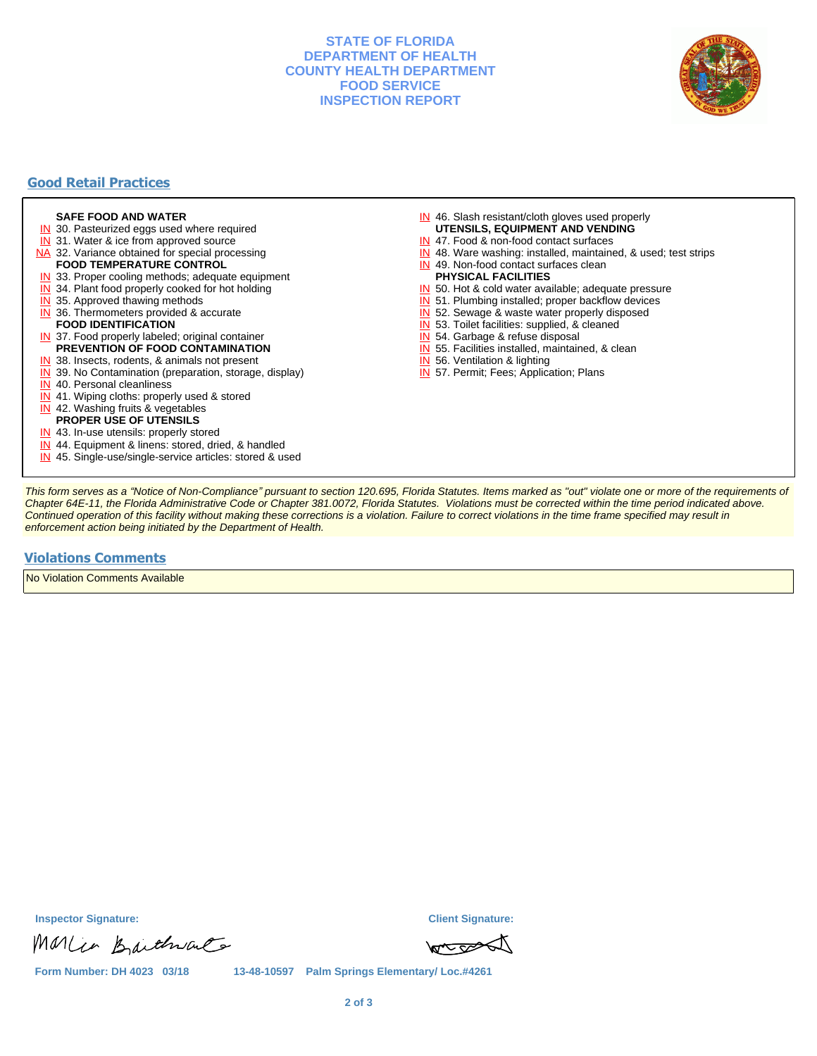### **STATE OF FLORIDA DEPARTMENT OF HEALTH COUNTY HEALTH DEPARTMENT FOOD SERVICE INSPECTION REPORT**



## **Good Retail Practices**

#### **SAFE FOOD AND WATER**

- **IN** 30. Pasteurized eggs used where required
- IN 31. Water & ice from approved source
- NA 32. Variance obtained for special processing **FOOD TEMPERATURE CONTROL**
- 
- **IN** 33. Proper cooling methods; adequate equipment
- **IN** 34. Plant food properly cooked for hot holding
- **IN** 35. Approved thawing methods
- IN 36. Thermometers provided & accurate **FOOD IDENTIFICATION**
- IN 37. Food properly labeled; original container **PREVENTION OF FOOD CONTAMINATION**
- IN 38. Insects, rodents, & animals not present
- **IN** 39. No Contamination (preparation, storage, display)
- IN 40. Personal cleanliness
- IN 41. Wiping cloths: properly used & stored
- IN 42. Washing fruits & vegetables
- **PROPER USE OF UTENSILS**
- IN 43. In-use utensils: properly stored
- IN 44. Equipment & linens: stored, dried, & handled
- IN 45. Single-use/single-service articles: stored & used
- IN 46. Slash resistant/cloth gloves used properly **UTENSILS, EQUIPMENT AND VENDING**
- IN 47. Food & non-food contact surfaces
- IN 48. Ware washing: installed, maintained, & used; test strips
- IN 49. Non-food contact surfaces clean
- **PHYSICAL FACILITIES**
- IN 50. Hot & cold water available; adequate pressure
- IN 51. Plumbing installed; proper backflow devices
- IN 52. Sewage & waste water properly disposed
- IN 53. Toilet facilities: supplied, & cleaned
- IN 54. Garbage & refuse disposal
- IN 55. Facilities installed, maintained, & clean
- IN 56. Ventilation & lighting
- IN 57. Permit; Fees; Application; Plans

This form serves as a "Notice of Non-Compliance" pursuant to section 120.695, Florida Statutes. Items marked as "out" violate one or more of the requirements of Chapter 64E-11, the Florida Administrative Code or Chapter 381.0072, Florida Statutes. Violations must be corrected within the time period indicated above. Continued operation of this facility without making these corrections is a violation. Failure to correct violations in the time frame specified may result in enforcement action being initiated by the Department of Health.

#### **Violations Comments**

No Violation Comments Available

Marcio Baithvale

**Inspector Signature: Client Signature:**



**Form Number: DH 4023 03/18 13-48-10597 Palm Springs Elementary/ Loc.#4261**